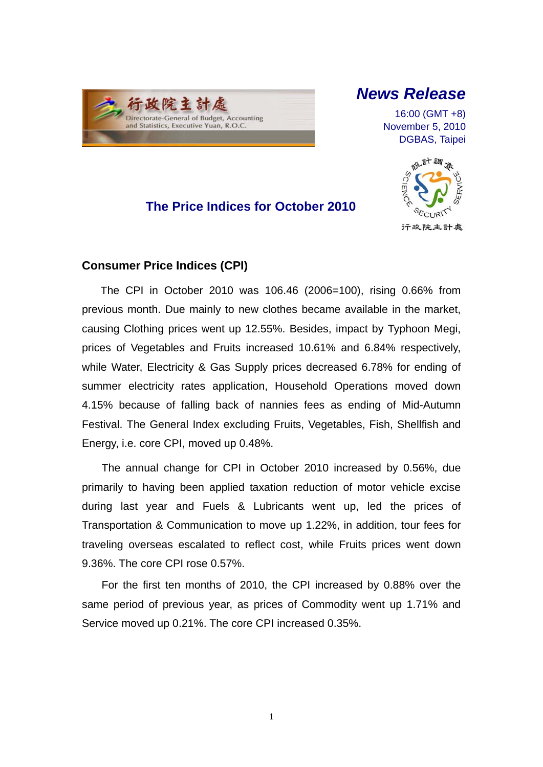

# *News Release*

16:00 (GMT +8) November 5, 2010 DGBAS, Taipei

### **The Price Indices for October 2010**



### **Consumer Price Indices (CPI)**

The CPI in October 2010 was 106.46 (2006=100), rising 0.66% from previous month. Due mainly to new clothes became available in the market, causing Clothing prices went up 12.55%. Besides, impact by Typhoon Megi, prices of Vegetables and Fruits increased 10.61% and 6.84% respectively, while Water, Electricity & Gas Supply prices decreased 6.78% for ending of summer electricity rates application, Household Operations moved down 4.15% because of falling back of nannies fees as ending of Mid-Autumn Festival. The General Index excluding Fruits, Vegetables, Fish, Shellfish and Energy, i.e. core CPI, moved up 0.48%.

The annual change for CPI in October 2010 increased by 0.56%, due primarily to having been applied taxation reduction of motor vehicle excise during last year and Fuels & Lubricants went up, led the prices of Transportation & Communication to move up 1.22%, in addition, tour fees for traveling overseas escalated to reflect cost, while Fruits prices went down 9.36%. The core CPI rose 0.57%.

For the first ten months of 2010, the CPI increased by 0.88% over the same period of previous year, as prices of Commodity went up 1.71% and Service moved up 0.21%. The core CPI increased 0.35%.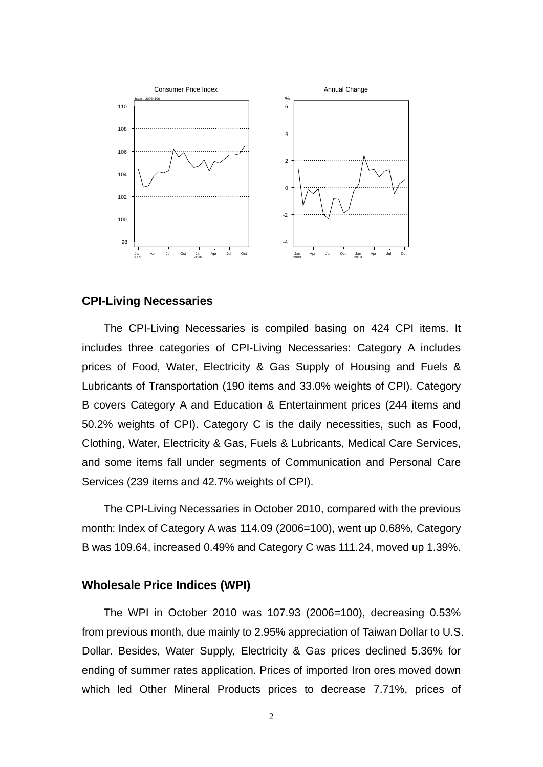

#### **CPI-Living Necessaries**

The CPI-Living Necessaries is compiled basing on 424 CPI items. It includes three categories of CPI-Living Necessaries: Category A includes prices of Food, Water, Electricity & Gas Supply of Housing and Fuels & Lubricants of Transportation (190 items and 33.0% weights of CPI). Category B covers Category A and Education & Entertainment prices (244 items and 50.2% weights of CPI). Category C is the daily necessities, such as Food, Clothing, Water, Electricity & Gas, Fuels & Lubricants, Medical Care Services, and some items fall under segments of Communication and Personal Care Services (239 items and 42.7% weights of CPI).

The CPI-Living Necessaries in October 2010, compared with the previous month: Index of Category A was 114.09 (2006=100), went up 0.68%, Category B was 109.64, increased 0.49% and Category C was 111.24, moved up 1.39%.

#### **Wholesale Price Indices (WPI)**

The WPI in October 2010 was 107.93 (2006=100), decreasing 0.53% from previous month, due mainly to 2.95% appreciation of Taiwan Dollar to U.S. Dollar. Besides, Water Supply, Electricity & Gas prices declined 5.36% for ending of summer rates application. Prices of imported Iron ores moved down which led Other Mineral Products prices to decrease 7.71%, prices of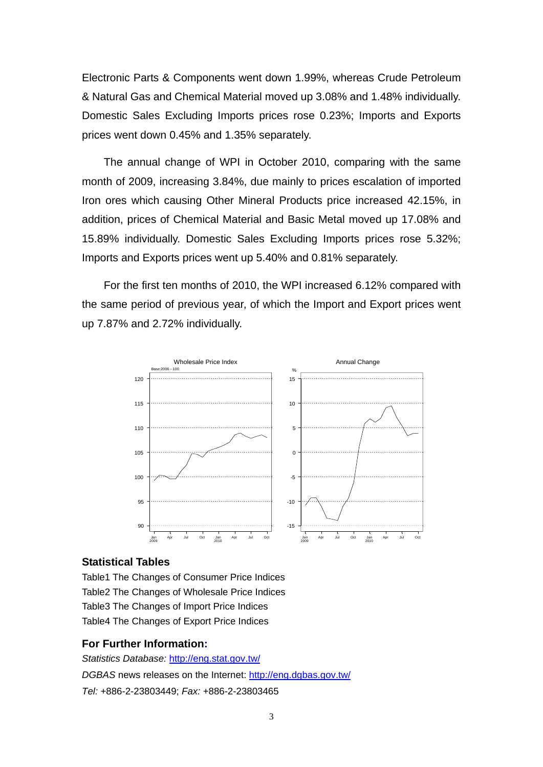Electronic Parts & Components went down 1.99%, whereas Crude Petroleum & Natural Gas and Chemical Material moved up 3.08% and 1.48% individually. Domestic Sales Excluding Imports prices rose 0.23%; Imports and Exports prices went down 0.45% and 1.35% separately.

The annual change of WPI in October 2010, comparing with the same month of 2009, increasing 3.84%, due mainly to prices escalation of imported Iron ores which causing Other Mineral Products price increased 42.15%, in addition, prices of Chemical Material and Basic Metal moved up 17.08% and 15.89% individually. Domestic Sales Excluding Imports prices rose 5.32%; Imports and Exports prices went up 5.40% and 0.81% separately.

For the first ten months of 2010, the WPI increased 6.12% compared with the same period of previous year, of which the Import and Export prices went up 7.87% and 2.72% individually.



#### **Statistical Tables**

Table1 The Changes of Consumer Price Indices Table2 The Changes of Wholesale Price Indices Table3 The Changes of Import Price Indices Table4 The Changes of Export Price Indices

#### **For Further Information:**

*Statistics Database:* http://eng.stat.gov.tw/ *DGBAS* news releases on the Internet: http://eng.dgbas.gov.tw/ *Tel:* +886-2-23803449; *Fax:* +886-2-23803465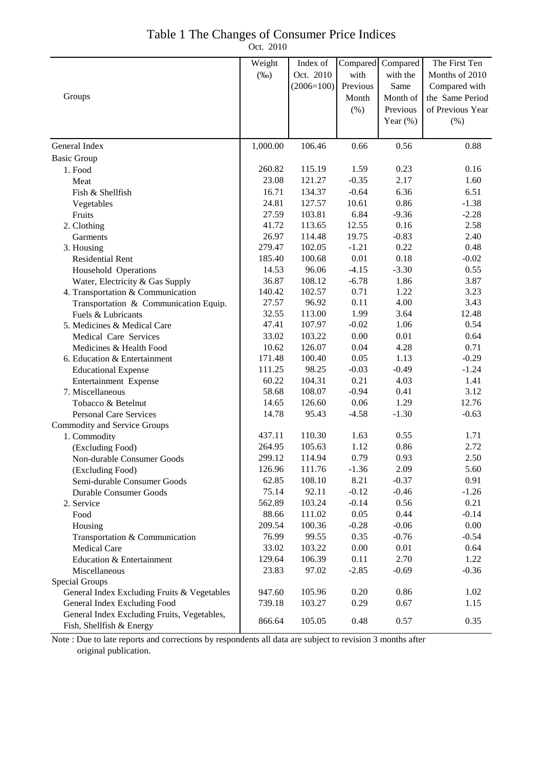### Table 1 The Changes of Consumer Price Indices

Oct. 2010

|                                             | Weight   | Index of     | Compared | Compared    | The First Ten    |
|---------------------------------------------|----------|--------------|----------|-------------|------------------|
|                                             | $(\%0)$  | Oct. 2010    | with     | with the    | Months of 2010   |
|                                             |          | $(2006=100)$ | Previous | Same        | Compared with    |
| Groups                                      |          |              | Month    | Month of    | the Same Period  |
|                                             |          |              | $(\% )$  | Previous    | of Previous Year |
|                                             |          |              |          | Year $(\%)$ | (%)              |
|                                             |          |              |          |             |                  |
| General Index                               | 1,000.00 | 106.46       | 0.66     | 0.56        | 0.88             |
| <b>Basic Group</b>                          |          |              |          |             |                  |
| 1. Food                                     | 260.82   | 115.19       | 1.59     | 0.23        | 0.16             |
| Meat                                        | 23.08    | 121.27       | $-0.35$  | 2.17        | 1.60             |
| Fish & Shellfish                            | 16.71    | 134.37       | $-0.64$  | 6.36        | 6.51             |
| Vegetables                                  | 24.81    | 127.57       | 10.61    | 0.86        | $-1.38$          |
| Fruits                                      | 27.59    | 103.81       | 6.84     | $-9.36$     | $-2.28$          |
| 2. Clothing                                 | 41.72    | 113.65       | 12.55    | 0.16        | 2.58             |
| Garments                                    | 26.97    | 114.48       | 19.75    | $-0.83$     | 2.40             |
| 3. Housing                                  | 279.47   | 102.05       | $-1.21$  | 0.22        | 0.48             |
| <b>Residential Rent</b>                     | 185.40   | 100.68       | 0.01     | 0.18        | $-0.02$          |
| Household Operations                        | 14.53    | 96.06        | $-4.15$  | $-3.30$     | 0.55             |
| Water, Electricity & Gas Supply             | 36.87    | 108.12       | $-6.78$  | 1.86        | 3.87             |
| 4. Transportation & Communication           | 140.42   | 102.57       | 0.71     | 1.22        | 3.23             |
| Transportation & Communication Equip.       | 27.57    | 96.92        | 0.11     | 4.00        | 3.43             |
| Fuels & Lubricants                          | 32.55    | 113.00       | 1.99     | 3.64        | 12.48            |
| 5. Medicines & Medical Care                 | 47.41    | 107.97       | $-0.02$  | 1.06        | 0.54             |
| Medical Care Services                       | 33.02    | 103.22       | 0.00     | 0.01        | 0.64             |
| Medicines & Health Food                     | 10.62    | 126.07       | 0.04     | 4.28        | 0.71             |
| 6. Education & Entertainment                | 171.48   | 100.40       | 0.05     | 1.13        | $-0.29$          |
| <b>Educational Expense</b>                  | 111.25   | 98.25        | $-0.03$  | $-0.49$     | $-1.24$          |
| Entertainment Expense                       | 60.22    | 104.31       | 0.21     | 4.03        | 1.41             |
| 7. Miscellaneous                            | 58.68    | 108.07       | $-0.94$  | 0.41        | 3.12             |
| Tobacco & Betelnut                          | 14.65    | 126.60       | 0.06     | 1.29        | 12.76            |
| <b>Personal Care Services</b>               | 14.78    | 95.43        | $-4.58$  | $-1.30$     | $-0.63$          |
| Commodity and Service Groups                |          |              |          |             |                  |
| 1. Commodity                                | 437.11   | 110.30       | 1.63     | 0.55        | 1.71             |
| (Excluding Food)                            | 264.95   | 105.63       | 1.12     | 0.86        | 2.72             |
| Non-durable Consumer Goods                  | 299.12   | 114.94       | 0.79     | 0.93        | 2.50             |
| (Excluding Food)                            | 126.96   | 111.76       | $-1.36$  | 2.09        | 5.60             |
| Semi-durable Consumer Goods                 | 62.85    | 108.10       | 8.21     | $-0.37$     | 0.91             |
| <b>Durable Consumer Goods</b>               | 75.14    | 92.11        | $-0.12$  | $-0.46$     | $-1.26$          |
| 2. Service                                  | 562.89   | 103.24       | $-0.14$  | 0.56        | 0.21             |
| Food                                        | 88.66    | 111.02       | 0.05     | 0.44        | $-0.14$          |
| Housing                                     | 209.54   | 100.36       | $-0.28$  | $-0.06$     | 0.00             |
| Transportation & Communication              | 76.99    | 99.55        | 0.35     | $-0.76$     | $-0.54$          |
| <b>Medical Care</b>                         | 33.02    | 103.22       | 0.00     | 0.01        | 0.64             |
| Education & Entertainment                   | 129.64   | 106.39       | 0.11     | 2.70        | 1.22             |
| Miscellaneous                               | 23.83    | 97.02        | $-2.85$  | $-0.69$     | $-0.36$          |
| Special Groups                              |          |              |          |             |                  |
| General Index Excluding Fruits & Vegetables | 947.60   | 105.96       | 0.20     | 0.86        | 1.02             |
| General Index Excluding Food                | 739.18   | 103.27       | 0.29     | 0.67        | 1.15             |
| General Index Excluding Fruits, Vegetables, |          |              |          |             |                  |
| Fish, Shellfish & Energy                    | 866.64   | 105.05       | 0.48     | 0.57        | 0.35             |

Note : Due to late reports and corrections by respondents all data are subject to revision 3 months after original publication.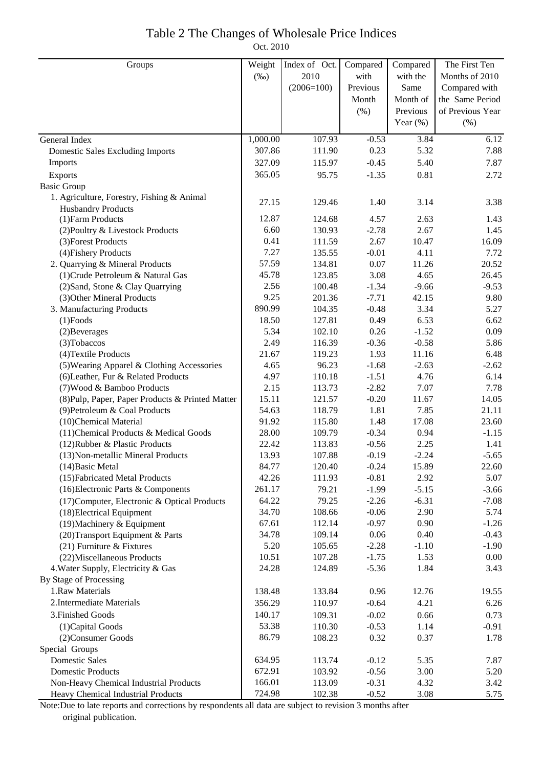# Table 2 The Changes of Wholesale Price Indices

Oct. 2010

| Groups                                           | Weight   | Index of Oct. | Compared | Compared    | The First Ten    |
|--------------------------------------------------|----------|---------------|----------|-------------|------------------|
|                                                  | $(\%0)$  | 2010          | with     | with the    | Months of 2010   |
|                                                  |          | $(2006=100)$  | Previous | Same        | Compared with    |
|                                                  |          |               | Month    | Month of    | the Same Period  |
|                                                  |          |               | (% )     | Previous    | of Previous Year |
|                                                  |          |               |          | Year $(\%)$ | (% )             |
| General Index                                    | 1,000.00 | 107.93        | $-0.53$  | 3.84        | 6.12             |
| <b>Domestic Sales Excluding Imports</b>          | 307.86   | 111.90        | 0.23     | 5.32        | 7.88             |
| Imports                                          | 327.09   | 115.97        | $-0.45$  | 5.40        | 7.87             |
| Exports                                          | 365.05   | 95.75         | $-1.35$  | 0.81        | 2.72             |
| <b>Basic Group</b>                               |          |               |          |             |                  |
| 1. Agriculture, Forestry, Fishing & Animal       |          |               |          |             |                  |
| <b>Husbandry Products</b>                        | 27.15    | 129.46        | 1.40     | 3.14        | 3.38             |
| (1) Farm Products                                | 12.87    | 124.68        | 4.57     | 2.63        | 1.43             |
| (2) Poultry & Livestock Products                 | 6.60     | 130.93        | $-2.78$  | 2.67        | 1.45             |
| (3) Forest Products                              | 0.41     | 111.59        | 2.67     | 10.47       | 16.09            |
| (4) Fishery Products                             | 7.27     | 135.55        | $-0.01$  | 4.11        | 7.72             |
| 2. Quarrying & Mineral Products                  | 57.59    | 134.81        | 0.07     | 11.26       | 20.52            |
| (1) Crude Petroleum & Natural Gas                | 45.78    | 123.85        | 3.08     | 4.65        | 26.45            |
| (2) Sand, Stone & Clay Quarrying                 | 2.56     | 100.48        | $-1.34$  | $-9.66$     | $-9.53$          |
| (3) Other Mineral Products                       | 9.25     | 201.36        | $-7.71$  | 42.15       | 9.80             |
| 3. Manufacturing Products                        | 890.99   | 104.35        | $-0.48$  | 3.34        | 5.27             |
| $(1)$ Foods                                      | 18.50    | 127.81        | 0.49     | 6.53        | 6.62             |
| (2) Beverages                                    | 5.34     | 102.10        | 0.26     | $-1.52$     | 0.09             |
| (3) Tobaccos                                     | 2.49     | 116.39        | $-0.36$  | $-0.58$     | 5.86             |
| (4) Textile Products                             | 21.67    | 119.23        | 1.93     | 11.16       | 6.48             |
| (5) Wearing Apparel & Clothing Accessories       | 4.65     | 96.23         | $-1.68$  | $-2.63$     | $-2.62$          |
| (6) Leather, Fur & Related Products              | 4.97     | 110.18        | $-1.51$  | 4.76        | 6.14             |
| (7) Wood & Bamboo Products                       | 2.15     | 113.73        | $-2.82$  | 7.07        | 7.78             |
| (8) Pulp, Paper, Paper Products & Printed Matter | 15.11    | 121.57        | $-0.20$  | 11.67       | 14.05            |
| (9) Petroleum & Coal Products                    | 54.63    | 118.79        | 1.81     | 7.85        | 21.11            |
| (10)Chemical Material                            | 91.92    | 115.80        | 1.48     | 17.08       | 23.60            |
| (11) Chemical Products & Medical Goods           | 28.00    | 109.79        | $-0.34$  | 0.94        | $-1.15$          |
| (12) Rubber & Plastic Products                   | 22.42    | 113.83        | $-0.56$  | 2.25        | 1.41             |
| (13) Non-metallic Mineral Products               | 13.93    | 107.88        | $-0.19$  | $-2.24$     | $-5.65$          |
| $(14)$ Basic Metal                               | 84.77    | 120.40        | $-0.24$  | 15.89       | 22.60            |
| (15) Fabricated Metal Products                   | 42.26    | 111.93        | $-0.81$  | 2.92        | 5.07             |
| (16) Electronic Parts & Components               | 261.17   | 79.21         | $-1.99$  | $-5.15$     | $-3.66$          |
| (17) Computer, Electronic & Optical Products     | 64.22    | 79.25         | $-2.26$  | $-6.31$     | $-7.08$          |
| (18) Electrical Equipment                        | 34.70    | 108.66        | $-0.06$  | 2.90        | 5.74             |
| (19) Machinery & Equipment                       | 67.61    | 112.14        | $-0.97$  | 0.90        | $-1.26$          |
| (20) Transport Equipment & Parts                 | 34.78    | 109.14        | 0.06     | 0.40        | $-0.43$          |
| $(21)$ Furniture & Fixtures                      | 5.20     | 105.65        | $-2.28$  | $-1.10$     | $-1.90$          |
| (22) Miscellaneous Products                      | 10.51    | 107.28        | $-1.75$  | 1.53        | 0.00             |
| 4. Water Supply, Electricity & Gas               | 24.28    | 124.89        | $-5.36$  | 1.84        | 3.43             |
| By Stage of Processing                           |          |               |          |             |                  |
| 1.Raw Materials                                  | 138.48   | 133.84        | 0.96     | 12.76       | 19.55            |
| 2. Intermediate Materials                        | 356.29   | 110.97        | $-0.64$  | 4.21        | 6.26             |
| 3. Finished Goods                                | 140.17   | 109.31        | $-0.02$  | 0.66        | 0.73             |
| (1) Capital Goods                                | 53.38    | 110.30        | $-0.53$  | 1.14        | $-0.91$          |
| (2) Consumer Goods                               | 86.79    | 108.23        | 0.32     | 0.37        | 1.78             |
| Special Groups                                   |          |               |          |             |                  |
| <b>Domestic Sales</b>                            | 634.95   | 113.74        | $-0.12$  | 5.35        | 7.87             |
| <b>Domestic Products</b>                         | 672.91   | 103.92        | $-0.56$  | 3.00        | 5.20             |
| Non-Heavy Chemical Industrial Products           | 166.01   | 113.09        | $-0.31$  | 4.32        | 3.42             |
| Heavy Chemical Industrial Products               | 724.98   | 102.38        | $-0.52$  | 3.08        | 5.75             |

Note:Due to late reports and corrections by respondents all data are subject to revision 3 months after original publication.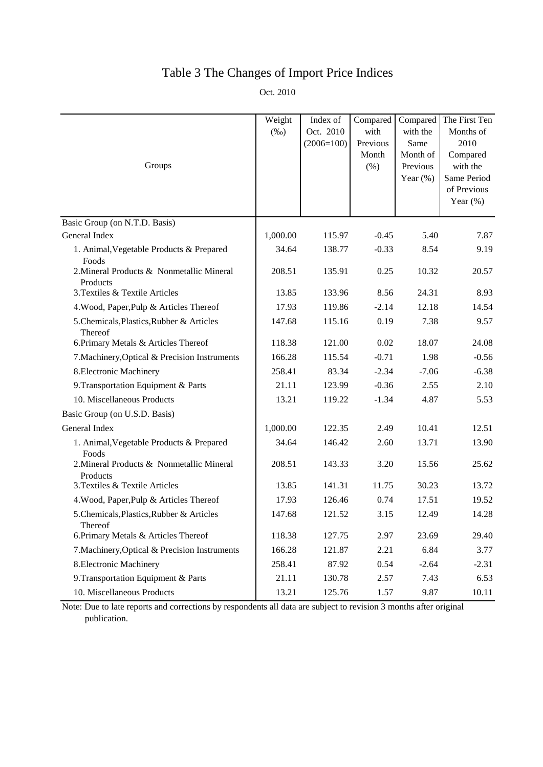## Table 3 The Changes of Import Price Indices

Oct. 2010

| Groups                                                | Weight<br>$(\%0)$ | Index of<br>Oct. 2010<br>$(2006=100)$ | Compared<br>with<br>Previous<br>Month<br>(% ) | Compared<br>with the<br>Same<br>Month of<br>Previous<br>Year $(\%)$ | The First Ten<br>Months of<br>2010<br>Compared<br>with the<br>Same Period<br>of Previous<br>Year $(\%)$ |
|-------------------------------------------------------|-------------------|---------------------------------------|-----------------------------------------------|---------------------------------------------------------------------|---------------------------------------------------------------------------------------------------------|
| Basic Group (on N.T.D. Basis)                         |                   |                                       |                                               |                                                                     |                                                                                                         |
| General Index                                         | 1,000.00          | 115.97                                | $-0.45$                                       | 5.40                                                                | 7.87                                                                                                    |
| 1. Animal, Vegetable Products & Prepared<br>Foods     | 34.64             | 138.77                                | $-0.33$                                       | 8.54                                                                | 9.19                                                                                                    |
| 2. Mineral Products & Nonmetallic Mineral<br>Products | 208.51            | 135.91                                | 0.25                                          | 10.32                                                               | 20.57                                                                                                   |
| 3. Textiles & Textile Articles                        | 13.85             | 133.96                                | 8.56                                          | 24.31                                                               | 8.93                                                                                                    |
| 4. Wood, Paper, Pulp & Articles Thereof               | 17.93             | 119.86                                | $-2.14$                                       | 12.18                                                               | 14.54                                                                                                   |
| 5.Chemicals, Plastics, Rubber & Articles<br>Thereof   | 147.68            | 115.16                                | 0.19                                          | 7.38                                                                | 9.57                                                                                                    |
| 6. Primary Metals & Articles Thereof                  | 118.38            | 121.00                                | 0.02                                          | 18.07                                                               | 24.08                                                                                                   |
| 7. Machinery, Optical & Precision Instruments         | 166.28            | 115.54                                | $-0.71$                                       | 1.98                                                                | $-0.56$                                                                                                 |
| 8. Electronic Machinery                               | 258.41            | 83.34                                 | $-2.34$                                       | $-7.06$                                                             | $-6.38$                                                                                                 |
| 9. Transportation Equipment & Parts                   | 21.11             | 123.99                                | $-0.36$                                       | 2.55                                                                | 2.10                                                                                                    |
| 10. Miscellaneous Products                            | 13.21             | 119.22                                | $-1.34$                                       | 4.87                                                                | 5.53                                                                                                    |
| Basic Group (on U.S.D. Basis)                         |                   |                                       |                                               |                                                                     |                                                                                                         |
| General Index                                         | 1,000.00          | 122.35                                | 2.49                                          | 10.41                                                               | 12.51                                                                                                   |
| 1. Animal, Vegetable Products & Prepared<br>Foods     | 34.64             | 146.42                                | 2.60                                          | 13.71                                                               | 13.90                                                                                                   |
| 2. Mineral Products & Nonmetallic Mineral<br>Products | 208.51            | 143.33                                | 3.20                                          | 15.56                                                               | 25.62                                                                                                   |
| 3. Textiles & Textile Articles                        | 13.85             | 141.31                                | 11.75                                         | 30.23                                                               | 13.72                                                                                                   |
| 4. Wood, Paper, Pulp & Articles Thereof               | 17.93             | 126.46                                | 0.74                                          | 17.51                                                               | 19.52                                                                                                   |
| 5. Chemicals, Plastics, Rubber & Articles<br>Thereof  | 147.68            | 121.52                                | 3.15                                          | 12.49                                                               | 14.28                                                                                                   |
| 6. Primary Metals & Articles Thereof                  | 118.38            | 127.75                                | 2.97                                          | 23.69                                                               | 29.40                                                                                                   |
| 7. Machinery, Optical & Precision Instruments         | 166.28            | 121.87                                | 2.21                                          | 6.84                                                                | 3.77                                                                                                    |
| 8. Electronic Machinery                               | 258.41            | 87.92                                 | 0.54                                          | $-2.64$                                                             | $-2.31$                                                                                                 |
| 9. Transportation Equipment & Parts                   | 21.11             | 130.78                                | 2.57                                          | 7.43                                                                | 6.53                                                                                                    |
| 10. Miscellaneous Products                            | 13.21             | 125.76                                | 1.57                                          | 9.87                                                                | 10.11                                                                                                   |

Note: Due to late reports and corrections by respondents all data are subject to revision 3 months after original publication.